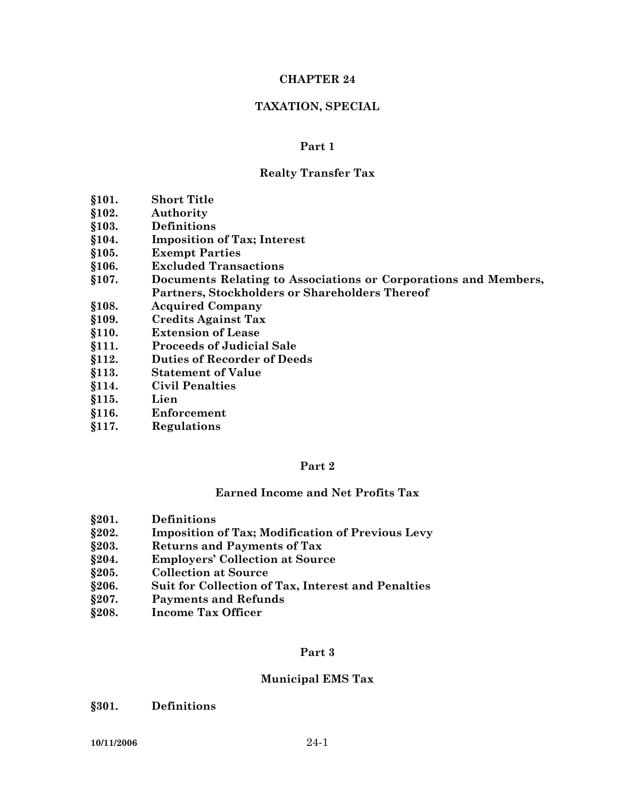#### **CHAPTER 24**

#### **TAXATION, SPECIAL**

#### **Part 1**

#### **Realty Transfer Tax**

- **§101. Short Title**
- **§102. Authority**
- **§103. Definitions**
- **§104. Imposition of Tax; Interest**
- **§105. Exempt Parties**
- **§106. Excluded Transactions**
- **§107. Documents Relating to Associations or Corporations and Members, Partners, Stockholders or Shareholders Thereof**
- **§108. Acquired Company**
- **§109. Credits Against Tax**
- **§110. Extension of Lease**
- **§111. Proceeds of Judicial Sale**
- **§112. Duties of Recorder of Deeds**
- **§113. Statement of Value**
- **§114. Civil Penalties**
- **§115. Lien**
- **§116. Enforcement**
- **§117. Regulations**

#### **Part 2**

#### **Earned Income and Net Profits Tax**

- **§201. Definitions**
- **§202. Imposition of Tax; Modification of Previous Levy**
- **§203. Returns and Payments of Tax**
- **§204. Employers' Collection at Source**
- **§205. Collection at Source**
- **§206. Suit for Collection of Tax, Interest and Penalties**
- **§207. Payments and Refunds**
- **§208. Income Tax Officer**

#### **Part 3**

#### **Municipal EMS Tax**

**§301. Definitions**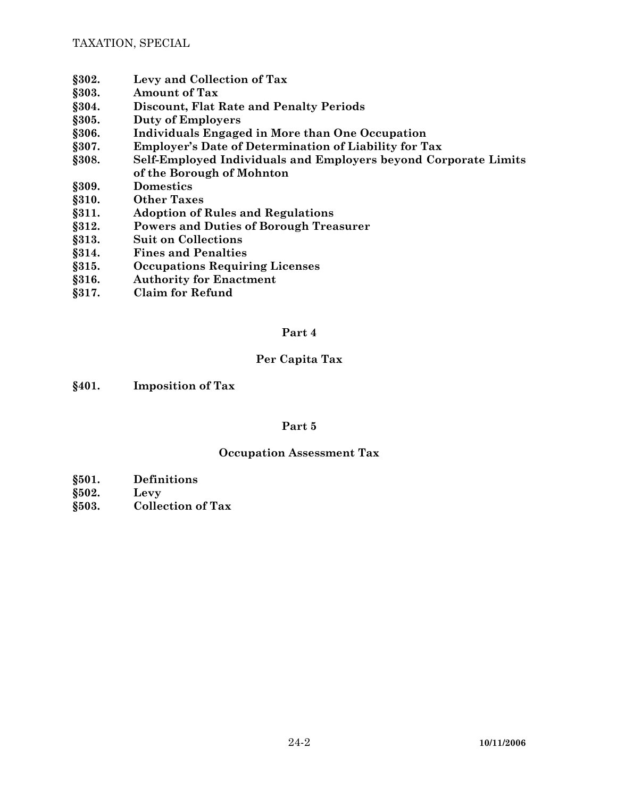- **§302. Levy and Collection of Tax**
- **§303. Amount of Tax**
- **§304. Discount, Flat Rate and Penalty Periods**
- **§305. Duty of Employers**
- **§306. Individuals Engaged in More than One Occupation**
- **§307. Employer's Date of Determination of Liability for Tax**
- **§308. Self-Employed Individuals and Employers beyond Corporate Limits of the Borough of Mohnton**
- **§309. Domestics**
- **§310. Other Taxes**
- **§311. Adoption of Rules and Regulations**
- **§312. Powers and Duties of Borough Treasurer**
- **§313. Suit on Collections**
- **§314. Fines and Penalties**
- **§315. Occupations Requiring Licenses**
- **§316. Authority for Enactment**
- **§317. Claim for Refund**

## **Per Capita Tax**

**§401. Imposition of Tax** 

## **Part 5**

## **Occupation Assessment Tax**

- **§501. Definitions**
- **§502. Levy**
- **§503. Collection of Tax**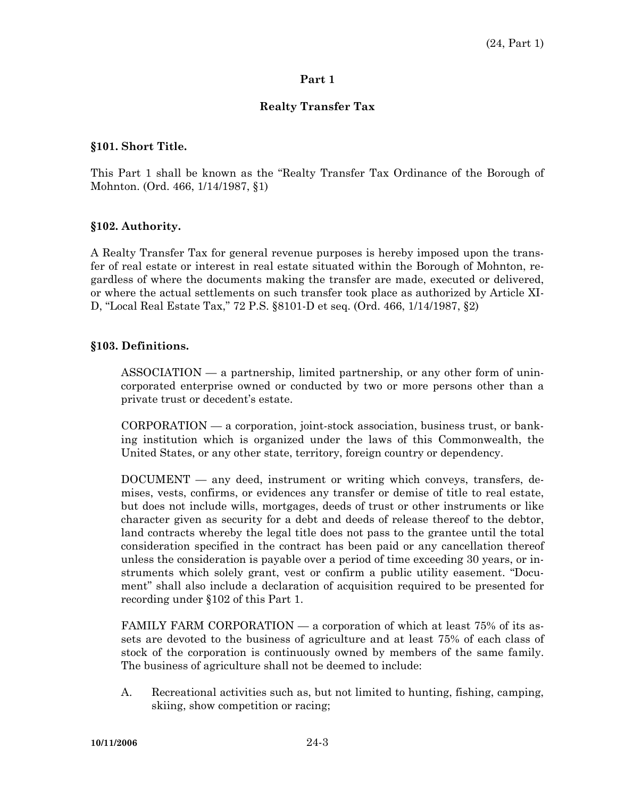#### **Realty Transfer Tax**

#### **§101. Short Title.**

This Part 1 shall be known as the "Realty Transfer Tax Ordinance of the Borough of Mohnton. (Ord. 466, 1/14/1987, §1)

#### **§102. Authority.**

A Realty Transfer Tax for general revenue purposes is hereby imposed upon the transfer of real estate or interest in real estate situated within the Borough of Mohnton, regardless of where the documents making the transfer are made, executed or delivered, or where the actual settlements on such transfer took place as authorized by Article XI-D, "Local Real Estate Tax," 72 P.S. §8101-D et seq. (Ord. 466, 1/14/1987, §2)

#### **§103. Definitions.**

 ASSOCIATION — a partnership, limited partnership, or any other form of unincorporated enterprise owned or conducted by two or more persons other than a private trust or decedent's estate.

 CORPORATION — a corporation, joint-stock association, business trust, or banking institution which is organized under the laws of this Commonwealth, the United States, or any other state, territory, foreign country or dependency.

 DOCUMENT — any deed, instrument or writing which conveys, transfers, demises, vests, confirms, or evidences any transfer or demise of title to real estate, but does not include wills, mortgages, deeds of trust or other instruments or like character given as security for a debt and deeds of release thereof to the debtor, land contracts whereby the legal title does not pass to the grantee until the total consideration specified in the contract has been paid or any cancellation thereof unless the consideration is payable over a period of time exceeding 30 years, or instruments which solely grant, vest or confirm a public utility easement. "Document" shall also include a declaration of acquisition required to be presented for recording under §102 of this Part 1.

 FAMILY FARM CORPORATION — a corporation of which at least 75% of its assets are devoted to the business of agriculture and at least 75% of each class of stock of the corporation is continuously owned by members of the same family. The business of agriculture shall not be deemed to include:

 A. Recreational activities such as, but not limited to hunting, fishing, camping, skiing, show competition or racing;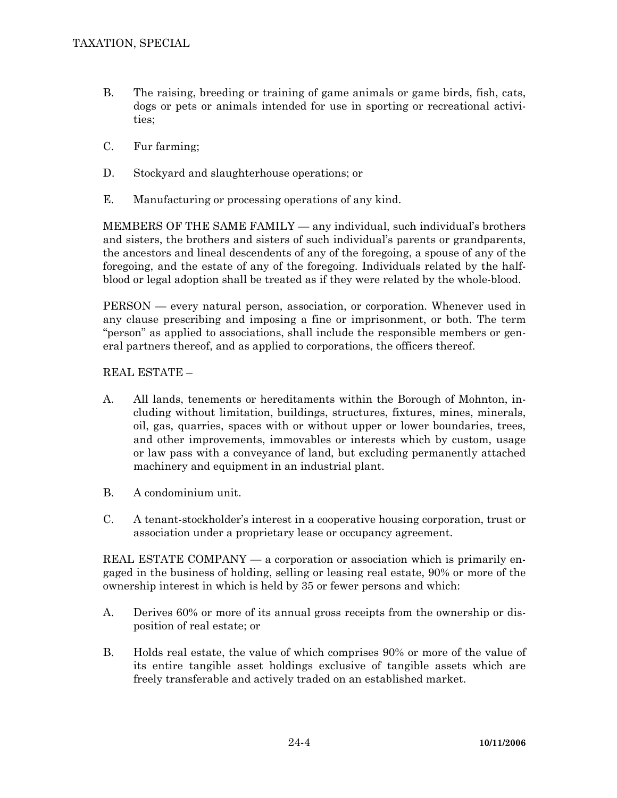- B. The raising, breeding or training of game animals or game birds, fish, cats, dogs or pets or animals intended for use in sporting or recreational activities;
- C. Fur farming;
- D. Stockyard and slaughterhouse operations; or
- E. Manufacturing or processing operations of any kind.

 MEMBERS OF THE SAME FAMILY — any individual, such individual's brothers and sisters, the brothers and sisters of such individual's parents or grandparents, the ancestors and lineal descendents of any of the foregoing, a spouse of any of the foregoing, and the estate of any of the foregoing. Individuals related by the halfblood or legal adoption shall be treated as if they were related by the whole-blood.

 PERSON — every natural person, association, or corporation. Whenever used in any clause prescribing and imposing a fine or imprisonment, or both. The term "person" as applied to associations, shall include the responsible members or general partners thereof, and as applied to corporations, the officers thereof.

REAL ESTATE –

- A. All lands, tenements or hereditaments within the Borough of Mohnton, including without limitation, buildings, structures, fixtures, mines, minerals, oil, gas, quarries, spaces with or without upper or lower boundaries, trees, and other improvements, immovables or interests which by custom, usage or law pass with a conveyance of land, but excluding permanently attached machinery and equipment in an industrial plant.
- B. A condominium unit.
- C. A tenant-stockholder's interest in a cooperative housing corporation, trust or association under a proprietary lease or occupancy agreement.

REAL ESTATE COMPANY — a corporation or association which is primarily engaged in the business of holding, selling or leasing real estate, 90% or more of the ownership interest in which is held by 35 or fewer persons and which:

- A. Derives 60% or more of its annual gross receipts from the ownership or disposition of real estate; or
- B. Holds real estate, the value of which comprises 90% or more of the value of its entire tangible asset holdings exclusive of tangible assets which are freely transferable and actively traded on an established market.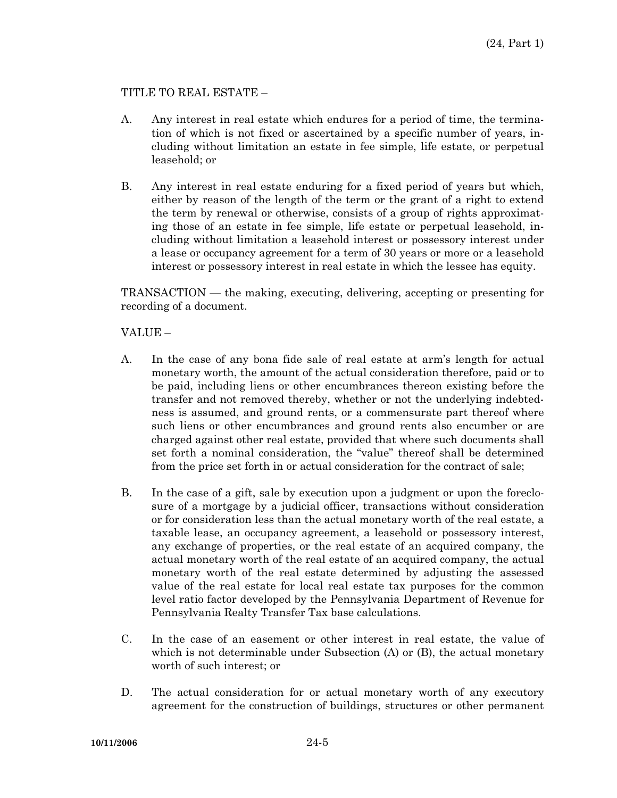## TITLE TO REAL ESTATE –

- A. Any interest in real estate which endures for a period of time, the termination of which is not fixed or ascertained by a specific number of years, including without limitation an estate in fee simple, life estate, or perpetual leasehold; or
- B. Any interest in real estate enduring for a fixed period of years but which, either by reason of the length of the term or the grant of a right to extend the term by renewal or otherwise, consists of a group of rights approximating those of an estate in fee simple, life estate or perpetual leasehold, including without limitation a leasehold interest or possessory interest under a lease or occupancy agreement for a term of 30 years or more or a leasehold interest or possessory interest in real estate in which the lessee has equity.

 TRANSACTION — the making, executing, delivering, accepting or presenting for recording of a document.

VALUE –

- A. In the case of any bona fide sale of real estate at arm's length for actual monetary worth, the amount of the actual consideration therefore, paid or to be paid, including liens or other encumbrances thereon existing before the transfer and not removed thereby, whether or not the underlying indebtedness is assumed, and ground rents, or a commensurate part thereof where such liens or other encumbrances and ground rents also encumber or are charged against other real estate, provided that where such documents shall set forth a nominal consideration, the "value" thereof shall be determined from the price set forth in or actual consideration for the contract of sale;
- B. In the case of a gift, sale by execution upon a judgment or upon the foreclosure of a mortgage by a judicial officer, transactions without consideration or for consideration less than the actual monetary worth of the real estate, a taxable lease, an occupancy agreement, a leasehold or possessory interest, any exchange of properties, or the real estate of an acquired company, the actual monetary worth of the real estate of an acquired company, the actual monetary worth of the real estate determined by adjusting the assessed value of the real estate for local real estate tax purposes for the common level ratio factor developed by the Pennsylvania Department of Revenue for Pennsylvania Realty Transfer Tax base calculations.
- C. In the case of an easement or other interest in real estate, the value of which is not determinable under Subsection (A) or (B), the actual monetary worth of such interest; or
- D. The actual consideration for or actual monetary worth of any executory agreement for the construction of buildings, structures or other permanent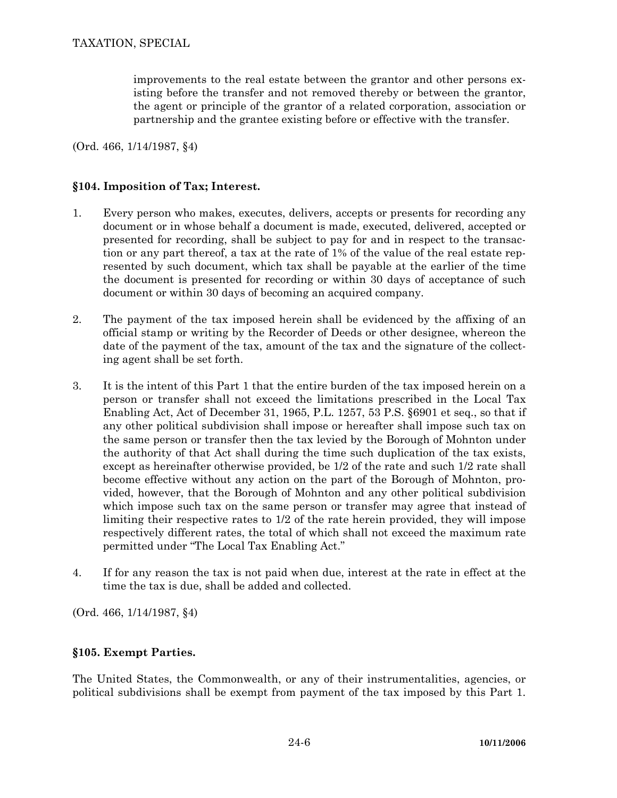improvements to the real estate between the grantor and other persons existing before the transfer and not removed thereby or between the grantor, the agent or principle of the grantor of a related corporation, association or partnership and the grantee existing before or effective with the transfer.

(Ord. 466, 1/14/1987, §4)

## **§104. Imposition of Tax; Interest.**

- 1. Every person who makes, executes, delivers, accepts or presents for recording any document or in whose behalf a document is made, executed, delivered, accepted or presented for recording, shall be subject to pay for and in respect to the transaction or any part thereof, a tax at the rate of 1% of the value of the real estate represented by such document, which tax shall be payable at the earlier of the time the document is presented for recording or within 30 days of acceptance of such document or within 30 days of becoming an acquired company.
- 2. The payment of the tax imposed herein shall be evidenced by the affixing of an official stamp or writing by the Recorder of Deeds or other designee, whereon the date of the payment of the tax, amount of the tax and the signature of the collecting agent shall be set forth.
- 3. It is the intent of this Part 1 that the entire burden of the tax imposed herein on a person or transfer shall not exceed the limitations prescribed in the Local Tax Enabling Act, Act of December 31, 1965, P.L. 1257, 53 P.S. §6901 et seq., so that if any other political subdivision shall impose or hereafter shall impose such tax on the same person or transfer then the tax levied by the Borough of Mohnton under the authority of that Act shall during the time such duplication of the tax exists, except as hereinafter otherwise provided, be 1/2 of the rate and such 1/2 rate shall become effective without any action on the part of the Borough of Mohnton, provided, however, that the Borough of Mohnton and any other political subdivision which impose such tax on the same person or transfer may agree that instead of limiting their respective rates to 1/2 of the rate herein provided, they will impose respectively different rates, the total of which shall not exceed the maximum rate permitted under "The Local Tax Enabling Act."
- 4. If for any reason the tax is not paid when due, interest at the rate in effect at the time the tax is due, shall be added and collected.

(Ord. 466, 1/14/1987, §4)

## **§105. Exempt Parties.**

The United States, the Commonwealth, or any of their instrumentalities, agencies, or political subdivisions shall be exempt from payment of the tax imposed by this Part 1.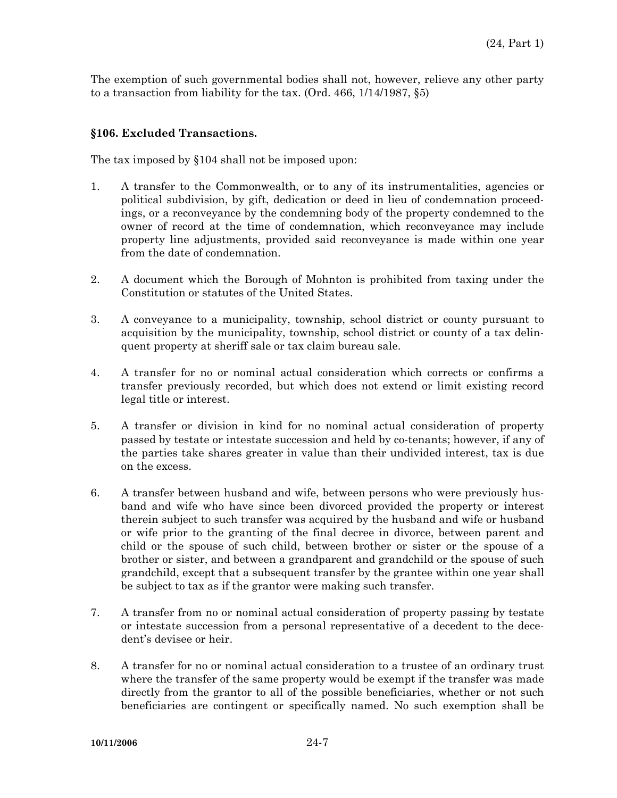The exemption of such governmental bodies shall not, however, relieve any other party to a transaction from liability for the tax. (Ord. 466, 1/14/1987, §5)

## **§106. Excluded Transactions.**

The tax imposed by §104 shall not be imposed upon:

- 1. A transfer to the Commonwealth, or to any of its instrumentalities, agencies or political subdivision, by gift, dedication or deed in lieu of condemnation proceedings, or a reconveyance by the condemning body of the property condemned to the owner of record at the time of condemnation, which reconveyance may include property line adjustments, provided said reconveyance is made within one year from the date of condemnation.
- 2. A document which the Borough of Mohnton is prohibited from taxing under the Constitution or statutes of the United States.
- 3. A conveyance to a municipality, township, school district or county pursuant to acquisition by the municipality, township, school district or county of a tax delinquent property at sheriff sale or tax claim bureau sale.
- 4. A transfer for no or nominal actual consideration which corrects or confirms a transfer previously recorded, but which does not extend or limit existing record legal title or interest.
- 5. A transfer or division in kind for no nominal actual consideration of property passed by testate or intestate succession and held by co-tenants; however, if any of the parties take shares greater in value than their undivided interest, tax is due on the excess.
- 6. A transfer between husband and wife, between persons who were previously husband and wife who have since been divorced provided the property or interest therein subject to such transfer was acquired by the husband and wife or husband or wife prior to the granting of the final decree in divorce, between parent and child or the spouse of such child, between brother or sister or the spouse of a brother or sister, and between a grandparent and grandchild or the spouse of such grandchild, except that a subsequent transfer by the grantee within one year shall be subject to tax as if the grantor were making such transfer.
- 7. A transfer from no or nominal actual consideration of property passing by testate or intestate succession from a personal representative of a decedent to the decedent's devisee or heir.
- 8. A transfer for no or nominal actual consideration to a trustee of an ordinary trust where the transfer of the same property would be exempt if the transfer was made directly from the grantor to all of the possible beneficiaries, whether or not such beneficiaries are contingent or specifically named. No such exemption shall be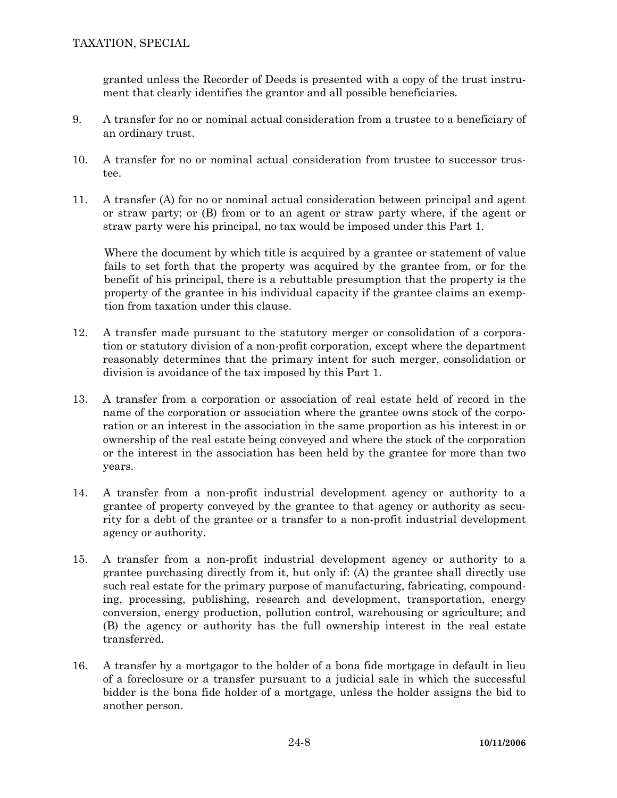granted unless the Recorder of Deeds is presented with a copy of the trust instrument that clearly identifies the grantor and all possible beneficiaries.

- 9. A transfer for no or nominal actual consideration from a trustee to a beneficiary of an ordinary trust.
- 10. A transfer for no or nominal actual consideration from trustee to successor trustee.
- 11. A transfer (A) for no or nominal actual consideration between principal and agent or straw party; or (B) from or to an agent or straw party where, if the agent or straw party were his principal, no tax would be imposed under this Part 1.

Where the document by which title is acquired by a grantee or statement of value fails to set forth that the property was acquired by the grantee from, or for the benefit of his principal, there is a rebuttable presumption that the property is the property of the grantee in his individual capacity if the grantee claims an exemption from taxation under this clause.

- 12. A transfer made pursuant to the statutory merger or consolidation of a corporation or statutory division of a non-profit corporation, except where the department reasonably determines that the primary intent for such merger, consolidation or division is avoidance of the tax imposed by this Part 1.
- 13. A transfer from a corporation or association of real estate held of record in the name of the corporation or association where the grantee owns stock of the corporation or an interest in the association in the same proportion as his interest in or ownership of the real estate being conveyed and where the stock of the corporation or the interest in the association has been held by the grantee for more than two years.
- 14. A transfer from a non-profit industrial development agency or authority to a grantee of property conveyed by the grantee to that agency or authority as security for a debt of the grantee or a transfer to a non-profit industrial development agency or authority.
- 15. A transfer from a non-profit industrial development agency or authority to a grantee purchasing directly from it, but only if: (A) the grantee shall directly use such real estate for the primary purpose of manufacturing, fabricating, compounding, processing, publishing, research and development, transportation, energy conversion, energy production, pollution control, warehousing or agriculture; and (B) the agency or authority has the full ownership interest in the real estate transferred.
- 16. A transfer by a mortgagor to the holder of a bona fide mortgage in default in lieu of a foreclosure or a transfer pursuant to a judicial sale in which the successful bidder is the bona fide holder of a mortgage, unless the holder assigns the bid to another person.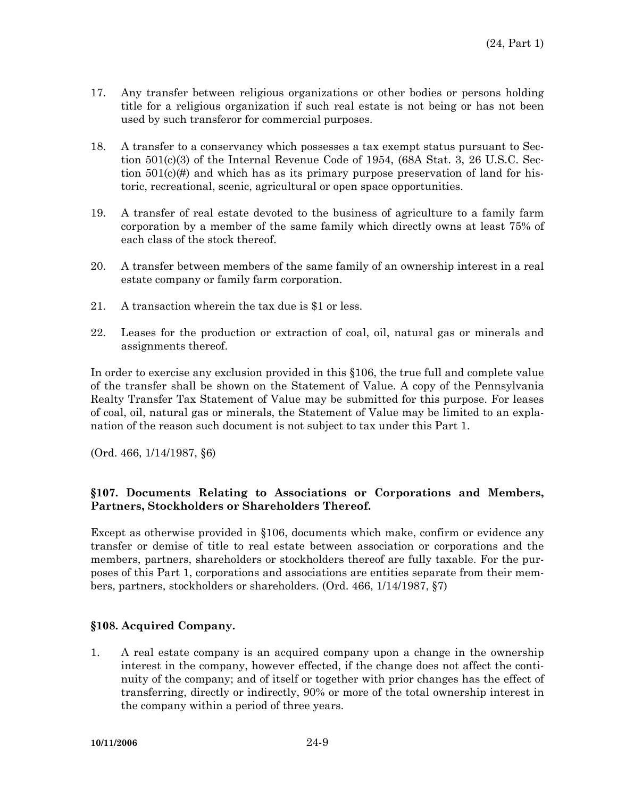- 17. Any transfer between religious organizations or other bodies or persons holding title for a religious organization if such real estate is not being or has not been used by such transferor for commercial purposes.
- 18. A transfer to a conservancy which possesses a tax exempt status pursuant to Section 501(c)(3) of the Internal Revenue Code of 1954, (68A Stat. 3, 26 U.S.C. Section  $501(c)$  (#) and which has as its primary purpose preservation of land for historic, recreational, scenic, agricultural or open space opportunities.
- 19. A transfer of real estate devoted to the business of agriculture to a family farm corporation by a member of the same family which directly owns at least 75% of each class of the stock thereof.
- 20. A transfer between members of the same family of an ownership interest in a real estate company or family farm corporation.
- 21. A transaction wherein the tax due is \$1 or less.
- 22. Leases for the production or extraction of coal, oil, natural gas or minerals and assignments thereof.

In order to exercise any exclusion provided in this §106, the true full and complete value of the transfer shall be shown on the Statement of Value. A copy of the Pennsylvania Realty Transfer Tax Statement of Value may be submitted for this purpose. For leases of coal, oil, natural gas or minerals, the Statement of Value may be limited to an explanation of the reason such document is not subject to tax under this Part 1.

(Ord. 466, 1/14/1987, §6)

## **§107. Documents Relating to Associations or Corporations and Members, Partners, Stockholders or Shareholders Thereof.**

Except as otherwise provided in §106, documents which make, confirm or evidence any transfer or demise of title to real estate between association or corporations and the members, partners, shareholders or stockholders thereof are fully taxable. For the purposes of this Part 1, corporations and associations are entities separate from their members, partners, stockholders or shareholders. (Ord. 466, 1/14/1987, §7)

#### **§108. Acquired Company.**

1. A real estate company is an acquired company upon a change in the ownership interest in the company, however effected, if the change does not affect the continuity of the company; and of itself or together with prior changes has the effect of transferring, directly or indirectly, 90% or more of the total ownership interest in the company within a period of three years.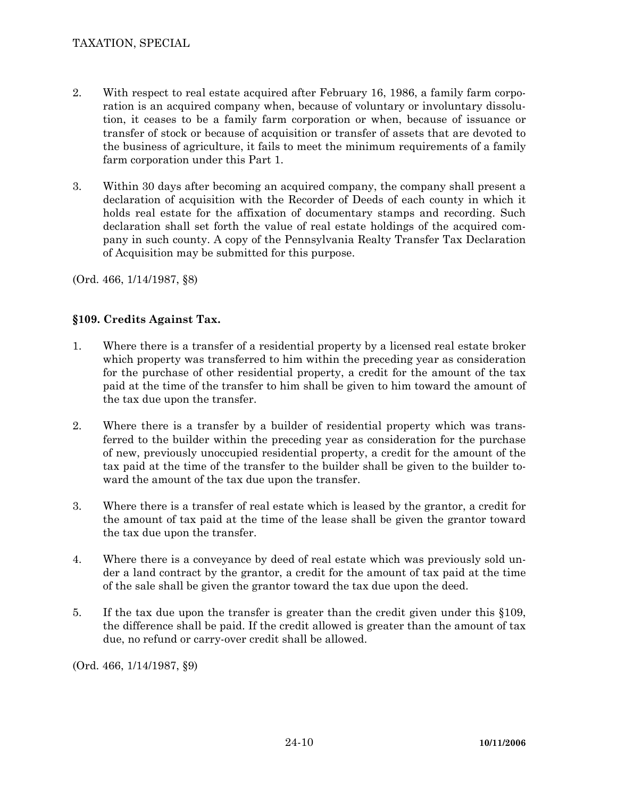- 2. With respect to real estate acquired after February 16, 1986, a family farm corporation is an acquired company when, because of voluntary or involuntary dissolution, it ceases to be a family farm corporation or when, because of issuance or transfer of stock or because of acquisition or transfer of assets that are devoted to the business of agriculture, it fails to meet the minimum requirements of a family farm corporation under this Part 1.
- 3. Within 30 days after becoming an acquired company, the company shall present a declaration of acquisition with the Recorder of Deeds of each county in which it holds real estate for the affixation of documentary stamps and recording. Such declaration shall set forth the value of real estate holdings of the acquired company in such county. A copy of the Pennsylvania Realty Transfer Tax Declaration of Acquisition may be submitted for this purpose.

(Ord. 466, 1/14/1987, §8)

# **§109. Credits Against Tax.**

- 1. Where there is a transfer of a residential property by a licensed real estate broker which property was transferred to him within the preceding year as consideration for the purchase of other residential property, a credit for the amount of the tax paid at the time of the transfer to him shall be given to him toward the amount of the tax due upon the transfer.
- 2. Where there is a transfer by a builder of residential property which was transferred to the builder within the preceding year as consideration for the purchase of new, previously unoccupied residential property, a credit for the amount of the tax paid at the time of the transfer to the builder shall be given to the builder toward the amount of the tax due upon the transfer.
- 3. Where there is a transfer of real estate which is leased by the grantor, a credit for the amount of tax paid at the time of the lease shall be given the grantor toward the tax due upon the transfer.
- 4. Where there is a conveyance by deed of real estate which was previously sold under a land contract by the grantor, a credit for the amount of tax paid at the time of the sale shall be given the grantor toward the tax due upon the deed.
- 5. If the tax due upon the transfer is greater than the credit given under this §109, the difference shall be paid. If the credit allowed is greater than the amount of tax due, no refund or carry-over credit shall be allowed.

(Ord. 466, 1/14/1987, §9)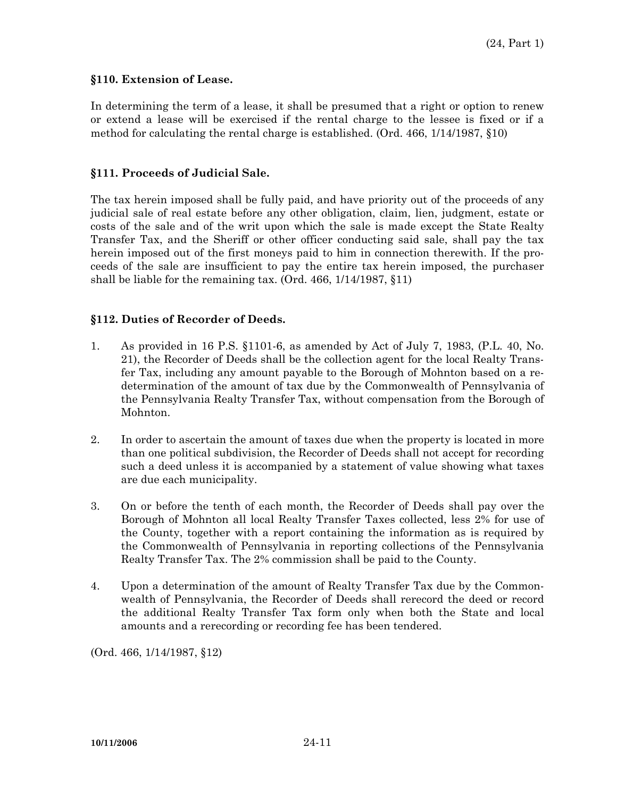#### **§110. Extension of Lease.**

In determining the term of a lease, it shall be presumed that a right or option to renew or extend a lease will be exercised if the rental charge to the lessee is fixed or if a method for calculating the rental charge is established. (Ord. 466, 1/14/1987, §10)

#### **§111. Proceeds of Judicial Sale.**

The tax herein imposed shall be fully paid, and have priority out of the proceeds of any judicial sale of real estate before any other obligation, claim, lien, judgment, estate or costs of the sale and of the writ upon which the sale is made except the State Realty Transfer Tax, and the Sheriff or other officer conducting said sale, shall pay the tax herein imposed out of the first moneys paid to him in connection therewith. If the proceeds of the sale are insufficient to pay the entire tax herein imposed, the purchaser shall be liable for the remaining tax. (Ord. 466, 1/14/1987, §11)

## **§112. Duties of Recorder of Deeds.**

- 1. As provided in 16 P.S. §1101-6, as amended by Act of July 7, 1983, (P.L. 40, No. 21), the Recorder of Deeds shall be the collection agent for the local Realty Transfer Tax, including any amount payable to the Borough of Mohnton based on a redetermination of the amount of tax due by the Commonwealth of Pennsylvania of the Pennsylvania Realty Transfer Tax, without compensation from the Borough of Mohnton.
- 2. In order to ascertain the amount of taxes due when the property is located in more than one political subdivision, the Recorder of Deeds shall not accept for recording such a deed unless it is accompanied by a statement of value showing what taxes are due each municipality.
- 3. On or before the tenth of each month, the Recorder of Deeds shall pay over the Borough of Mohnton all local Realty Transfer Taxes collected, less 2% for use of the County, together with a report containing the information as is required by the Commonwealth of Pennsylvania in reporting collections of the Pennsylvania Realty Transfer Tax. The 2% commission shall be paid to the County.
- 4. Upon a determination of the amount of Realty Transfer Tax due by the Commonwealth of Pennsylvania, the Recorder of Deeds shall rerecord the deed or record the additional Realty Transfer Tax form only when both the State and local amounts and a rerecording or recording fee has been tendered.

(Ord. 466, 1/14/1987, §12)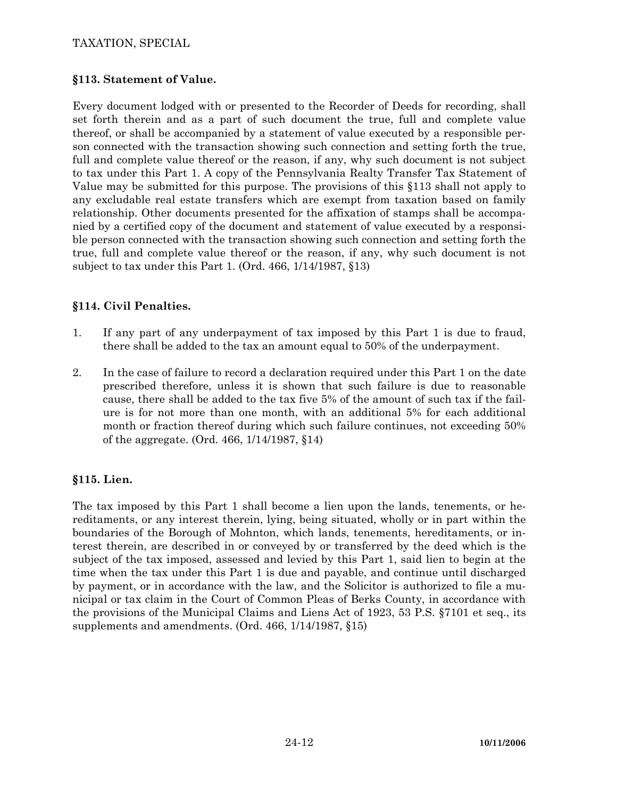## TAXATION, SPECIAL

## **§113. Statement of Value.**

Every document lodged with or presented to the Recorder of Deeds for recording, shall set forth therein and as a part of such document the true, full and complete value thereof, or shall be accompanied by a statement of value executed by a responsible person connected with the transaction showing such connection and setting forth the true, full and complete value thereof or the reason, if any, why such document is not subject to tax under this Part 1. A copy of the Pennsylvania Realty Transfer Tax Statement of Value may be submitted for this purpose. The provisions of this §113 shall not apply to any excludable real estate transfers which are exempt from taxation based on family relationship. Other documents presented for the affixation of stamps shall be accompanied by a certified copy of the document and statement of value executed by a responsible person connected with the transaction showing such connection and setting forth the true, full and complete value thereof or the reason, if any, why such document is not subject to tax under this Part 1. (Ord. 466, 1/14/1987, §13)

## **§114. Civil Penalties.**

- 1. If any part of any underpayment of tax imposed by this Part 1 is due to fraud, there shall be added to the tax an amount equal to 50% of the underpayment.
- 2. In the case of failure to record a declaration required under this Part 1 on the date prescribed therefore, unless it is shown that such failure is due to reasonable cause, there shall be added to the tax five 5% of the amount of such tax if the failure is for not more than one month, with an additional 5% for each additional month or fraction thereof during which such failure continues, not exceeding 50% of the aggregate. (Ord. 466, 1/14/1987, §14)

## **§115. Lien.**

The tax imposed by this Part 1 shall become a lien upon the lands, tenements, or hereditaments, or any interest therein, lying, being situated, wholly or in part within the boundaries of the Borough of Mohnton, which lands, tenements, hereditaments, or interest therein, are described in or conveyed by or transferred by the deed which is the subject of the tax imposed, assessed and levied by this Part 1, said lien to begin at the time when the tax under this Part 1 is due and payable, and continue until discharged by payment, or in accordance with the law, and the Solicitor is authorized to file a municipal or tax claim in the Court of Common Pleas of Berks County, in accordance with the provisions of the Municipal Claims and Liens Act of 1923, 53 P.S. §7101 et seq., its supplements and amendments. (Ord. 466, 1/14/1987, §15)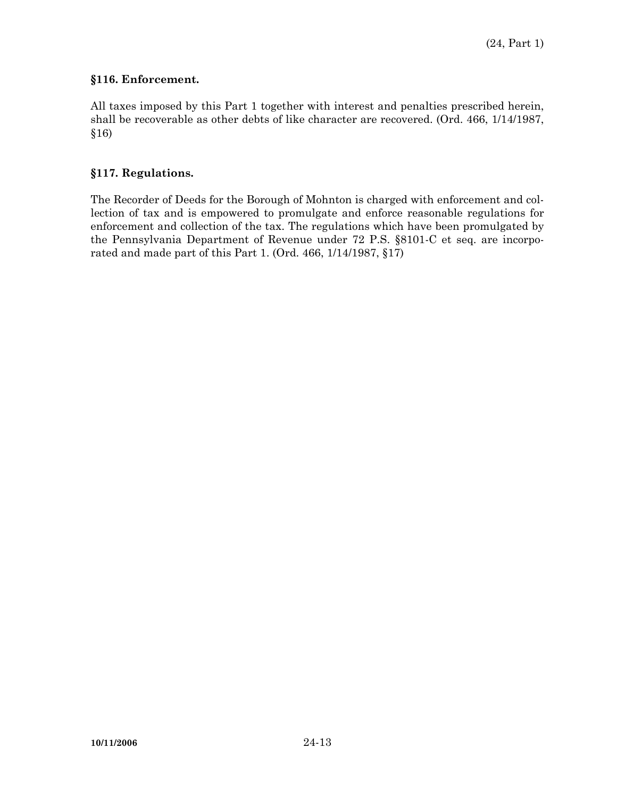## **§116. Enforcement.**

All taxes imposed by this Part 1 together with interest and penalties prescribed herein, shall be recoverable as other debts of like character are recovered. (Ord. 466, 1/14/1987, §16)

#### **§117. Regulations.**

The Recorder of Deeds for the Borough of Mohnton is charged with enforcement and collection of tax and is empowered to promulgate and enforce reasonable regulations for enforcement and collection of the tax. The regulations which have been promulgated by the Pennsylvania Department of Revenue under 72 P.S. §8101-C et seq. are incorporated and made part of this Part 1. (Ord. 466, 1/14/1987, §17)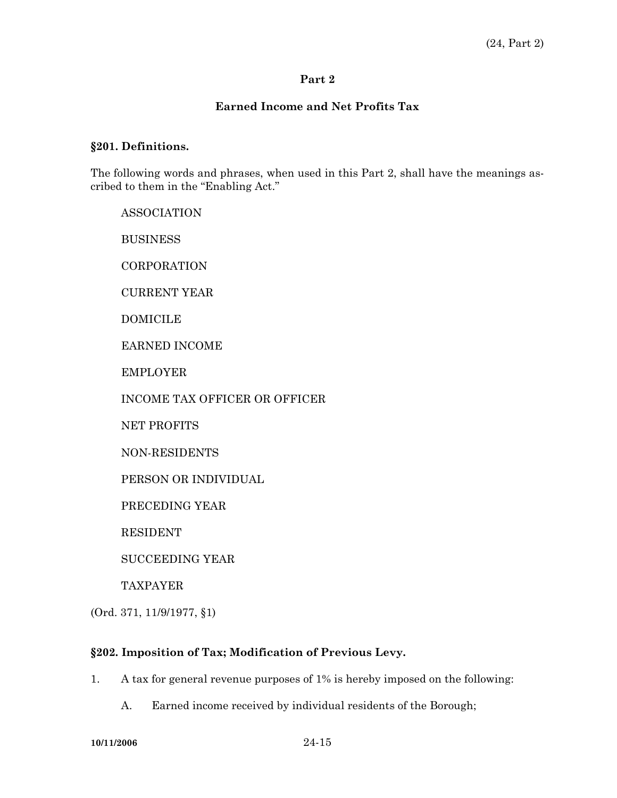#### **Earned Income and Net Profits Tax**

#### **§201. Definitions.**

The following words and phrases, when used in this Part 2, shall have the meanings ascribed to them in the "Enabling Act."

 ASSOCIATION **BUSINESS CORPORATION**  CURRENT YEAR DOMICILE EARNED INCOME EMPLOYER INCOME TAX OFFICER OR OFFICER NET PROFITS NON-RESIDENTS PERSON OR INDIVIDUAL PRECEDING YEAR RESIDENT SUCCEEDING YEAR TAXPAYER

(Ord. 371, 11/9/1977, §1)

## **§202. Imposition of Tax; Modification of Previous Levy.**

1. A tax for general revenue purposes of 1% is hereby imposed on the following:

A. Earned income received by individual residents of the Borough;

**10/11/2006** 24-15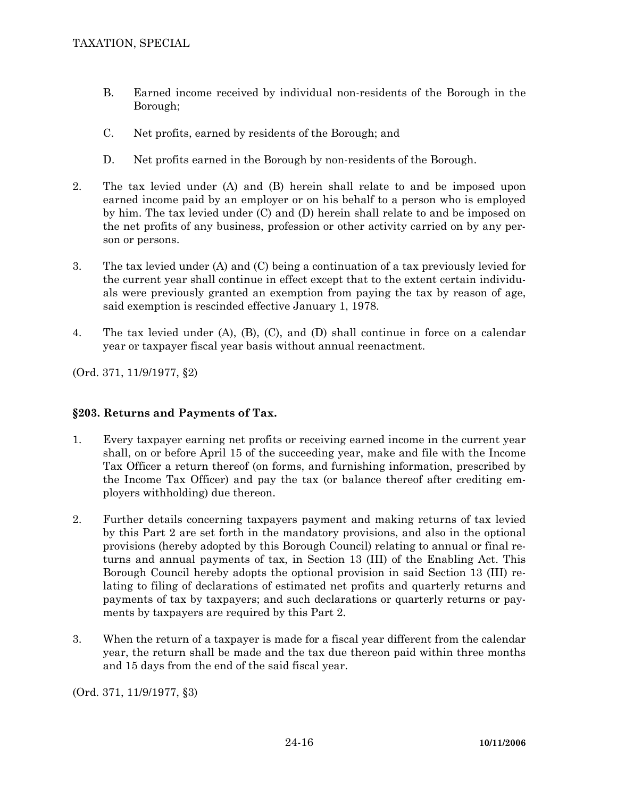- B. Earned income received by individual non-residents of the Borough in the Borough;
- C. Net profits, earned by residents of the Borough; and
- D. Net profits earned in the Borough by non-residents of the Borough.
- 2. The tax levied under (A) and (B) herein shall relate to and be imposed upon earned income paid by an employer or on his behalf to a person who is employed by him. The tax levied under (C) and (D) herein shall relate to and be imposed on the net profits of any business, profession or other activity carried on by any person or persons.
- 3. The tax levied under (A) and (C) being a continuation of a tax previously levied for the current year shall continue in effect except that to the extent certain individuals were previously granted an exemption from paying the tax by reason of age, said exemption is rescinded effective January 1, 1978.
- 4. The tax levied under (A), (B), (C), and (D) shall continue in force on a calendar year or taxpayer fiscal year basis without annual reenactment.

(Ord. 371, 11/9/1977, §2)

# **§203. Returns and Payments of Tax.**

- 1. Every taxpayer earning net profits or receiving earned income in the current year shall, on or before April 15 of the succeeding year, make and file with the Income Tax Officer a return thereof (on forms, and furnishing information, prescribed by the Income Tax Officer) and pay the tax (or balance thereof after crediting employers withholding) due thereon.
- 2. Further details concerning taxpayers payment and making returns of tax levied by this Part 2 are set forth in the mandatory provisions, and also in the optional provisions (hereby adopted by this Borough Council) relating to annual or final returns and annual payments of tax, in Section 13 (III) of the Enabling Act. This Borough Council hereby adopts the optional provision in said Section 13 (III) relating to filing of declarations of estimated net profits and quarterly returns and payments of tax by taxpayers; and such declarations or quarterly returns or payments by taxpayers are required by this Part 2.
- 3. When the return of a taxpayer is made for a fiscal year different from the calendar year, the return shall be made and the tax due thereon paid within three months and 15 days from the end of the said fiscal year.

(Ord. 371, 11/9/1977, §3)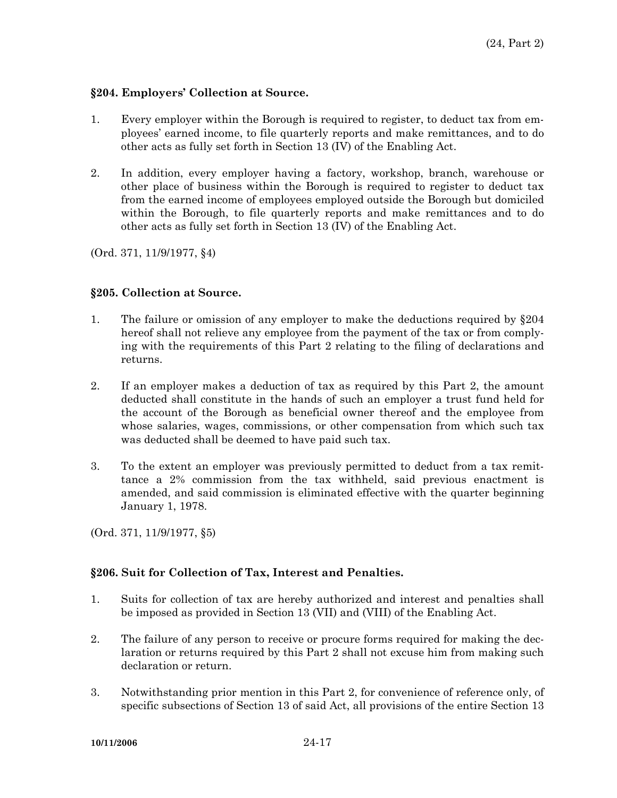#### **§204. Employers' Collection at Source.**

- 1. Every employer within the Borough is required to register, to deduct tax from employees' earned income, to file quarterly reports and make remittances, and to do other acts as fully set forth in Section 13 (IV) of the Enabling Act.
- 2. In addition, every employer having a factory, workshop, branch, warehouse or other place of business within the Borough is required to register to deduct tax from the earned income of employees employed outside the Borough but domiciled within the Borough, to file quarterly reports and make remittances and to do other acts as fully set forth in Section 13 (IV) of the Enabling Act.

(Ord. 371, 11/9/1977, §4)

## **§205. Collection at Source.**

- 1. The failure or omission of any employer to make the deductions required by §204 hereof shall not relieve any employee from the payment of the tax or from complying with the requirements of this Part 2 relating to the filing of declarations and returns.
- 2. If an employer makes a deduction of tax as required by this Part 2, the amount deducted shall constitute in the hands of such an employer a trust fund held for the account of the Borough as beneficial owner thereof and the employee from whose salaries, wages, commissions, or other compensation from which such tax was deducted shall be deemed to have paid such tax.
- 3. To the extent an employer was previously permitted to deduct from a tax remittance a 2% commission from the tax withheld, said previous enactment is amended, and said commission is eliminated effective with the quarter beginning January 1, 1978.

(Ord. 371, 11/9/1977, §5)

## **§206. Suit for Collection of Tax, Interest and Penalties.**

- 1. Suits for collection of tax are hereby authorized and interest and penalties shall be imposed as provided in Section 13 (VII) and (VIII) of the Enabling Act.
- 2. The failure of any person to receive or procure forms required for making the declaration or returns required by this Part 2 shall not excuse him from making such declaration or return.
- 3. Notwithstanding prior mention in this Part 2, for convenience of reference only, of specific subsections of Section 13 of said Act, all provisions of the entire Section 13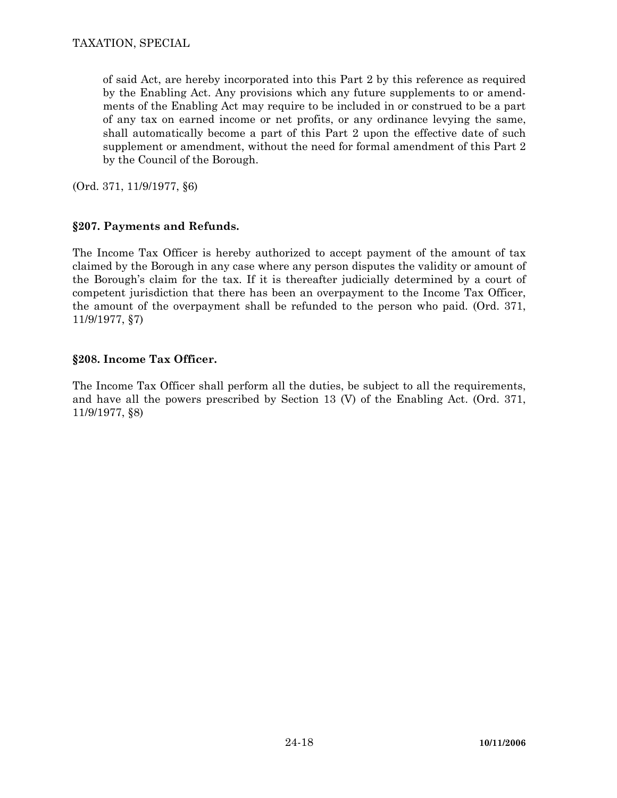of said Act, are hereby incorporated into this Part 2 by this reference as required by the Enabling Act. Any provisions which any future supplements to or amendments of the Enabling Act may require to be included in or construed to be a part of any tax on earned income or net profits, or any ordinance levying the same, shall automatically become a part of this Part 2 upon the effective date of such supplement or amendment, without the need for formal amendment of this Part 2 by the Council of the Borough.

(Ord. 371, 11/9/1977, §6)

# **§207. Payments and Refunds.**

The Income Tax Officer is hereby authorized to accept payment of the amount of tax claimed by the Borough in any case where any person disputes the validity or amount of the Borough's claim for the tax. If it is thereafter judicially determined by a court of competent jurisdiction that there has been an overpayment to the Income Tax Officer, the amount of the overpayment shall be refunded to the person who paid. (Ord. 371, 11/9/1977, §7)

# **§208. Income Tax Officer.**

The Income Tax Officer shall perform all the duties, be subject to all the requirements, and have all the powers prescribed by Section 13 (V) of the Enabling Act. (Ord. 371, 11/9/1977, §8)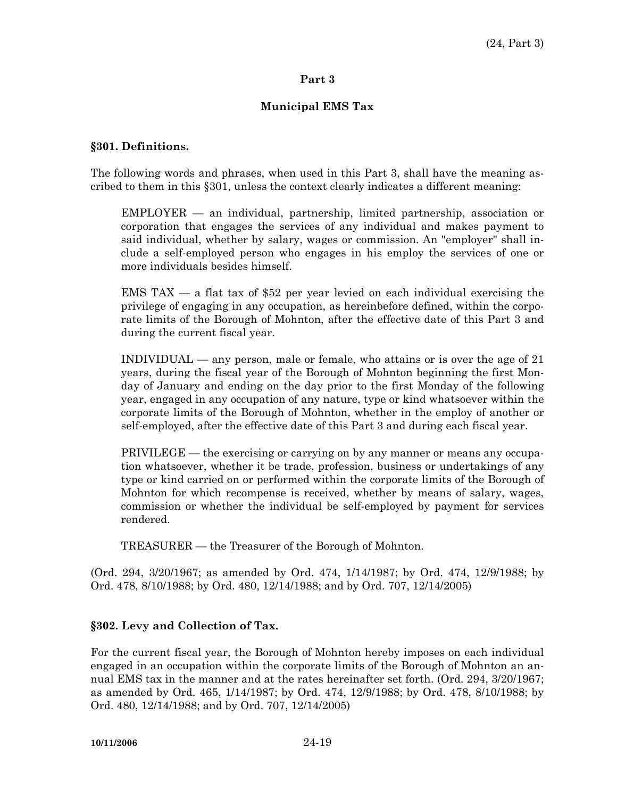## **Municipal EMS Tax**

#### **§301. Definitions.**

The following words and phrases, when used in this Part 3, shall have the meaning ascribed to them in this §301, unless the context clearly indicates a different meaning:

 EMPLOYER — an individual, partnership, limited partnership, association or corporation that engages the services of any individual and makes payment to said individual, whether by salary, wages or commission. An "employer" shall include a self-employed person who engages in his employ the services of one or more individuals besides himself.

EMS TAX — a flat tax of \$52 per year levied on each individual exercising the privilege of engaging in any occupation, as hereinbefore defined, within the corporate limits of the Borough of Mohnton, after the effective date of this Part 3 and during the current fiscal year.

 INDIVIDUAL — any person, male or female, who attains or is over the age of 21 years, during the fiscal year of the Borough of Mohnton beginning the first Monday of January and ending on the day prior to the first Monday of the following year, engaged in any occupation of any nature, type or kind whatsoever within the corporate limits of the Borough of Mohnton, whether in the employ of another or self-employed, after the effective date of this Part 3 and during each fiscal year.

 PRIVILEGE — the exercising or carrying on by any manner or means any occupation whatsoever, whether it be trade, profession, business or undertakings of any type or kind carried on or performed within the corporate limits of the Borough of Mohnton for which recompense is received, whether by means of salary, wages, commission or whether the individual be self-employed by payment for services rendered.

TREASURER — the Treasurer of the Borough of Mohnton.

(Ord. 294, 3/20/1967; as amended by Ord. 474, 1/14/1987; by Ord. 474, 12/9/1988; by Ord. 478, 8/10/1988; by Ord. 480, 12/14/1988; and by Ord. 707, 12/14/2005)

## **§302. Levy and Collection of Tax.**

For the current fiscal year, the Borough of Mohnton hereby imposes on each individual engaged in an occupation within the corporate limits of the Borough of Mohnton an annual EMS tax in the manner and at the rates hereinafter set forth. (Ord. 294, 3/20/1967; as amended by Ord. 465, 1/14/1987; by Ord. 474, 12/9/1988; by Ord. 478, 8/10/1988; by Ord. 480, 12/14/1988; and by Ord. 707, 12/14/2005)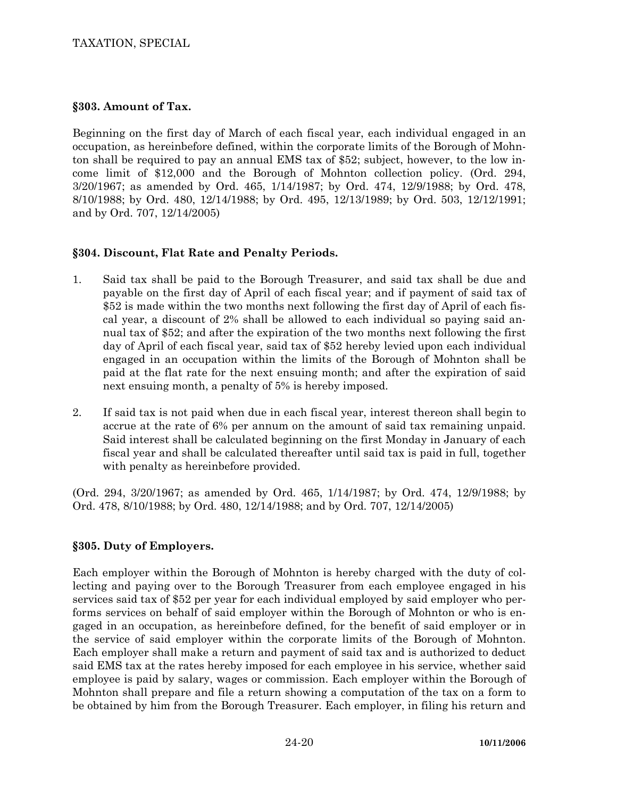## TAXATION, SPECIAL

#### **§303. Amount of Tax.**

Beginning on the first day of March of each fiscal year, each individual engaged in an occupation, as hereinbefore defined, within the corporate limits of the Borough of Mohnton shall be required to pay an annual EMS tax of \$52; subject, however, to the low income limit of \$12,000 and the Borough of Mohnton collection policy. (Ord. 294, 3/20/1967; as amended by Ord. 465, 1/14/1987; by Ord. 474, 12/9/1988; by Ord. 478, 8/10/1988; by Ord. 480, 12/14/1988; by Ord. 495, 12/13/1989; by Ord. 503, 12/12/1991; and by Ord. 707, 12/14/2005)

## **§304. Discount, Flat Rate and Penalty Periods.**

- 1. Said tax shall be paid to the Borough Treasurer, and said tax shall be due and payable on the first day of April of each fiscal year; and if payment of said tax of \$52 is made within the two months next following the first day of April of each fiscal year, a discount of 2% shall be allowed to each individual so paying said annual tax of \$52; and after the expiration of the two months next following the first day of April of each fiscal year, said tax of \$52 hereby levied upon each individual engaged in an occupation within the limits of the Borough of Mohnton shall be paid at the flat rate for the next ensuing month; and after the expiration of said next ensuing month, a penalty of 5% is hereby imposed.
- 2. If said tax is not paid when due in each fiscal year, interest thereon shall begin to accrue at the rate of 6% per annum on the amount of said tax remaining unpaid. Said interest shall be calculated beginning on the first Monday in January of each fiscal year and shall be calculated thereafter until said tax is paid in full, together with penalty as hereinbefore provided.

(Ord. 294, 3/20/1967; as amended by Ord. 465, 1/14/1987; by Ord. 474, 12/9/1988; by Ord. 478, 8/10/1988; by Ord. 480, 12/14/1988; and by Ord. 707, 12/14/2005)

## **§305. Duty of Employers.**

Each employer within the Borough of Mohnton is hereby charged with the duty of collecting and paying over to the Borough Treasurer from each employee engaged in his services said tax of \$52 per year for each individual employed by said employer who performs services on behalf of said employer within the Borough of Mohnton or who is engaged in an occupation, as hereinbefore defined, for the benefit of said employer or in the service of said employer within the corporate limits of the Borough of Mohnton. Each employer shall make a return and payment of said tax and is authorized to deduct said EMS tax at the rates hereby imposed for each employee in his service, whether said employee is paid by salary, wages or commission. Each employer within the Borough of Mohnton shall prepare and file a return showing a computation of the tax on a form to be obtained by him from the Borough Treasurer. Each employer, in filing his return and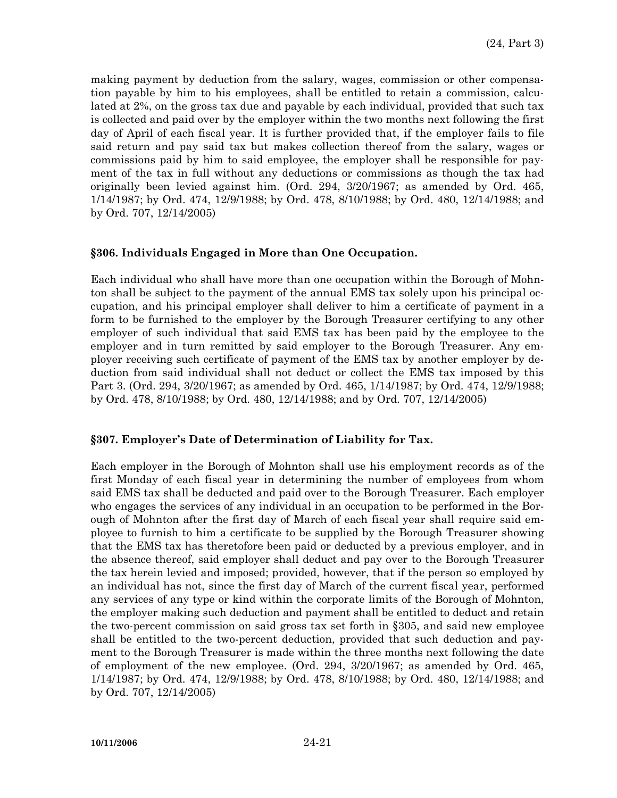making payment by deduction from the salary, wages, commission or other compensation payable by him to his employees, shall be entitled to retain a commission, calculated at 2%, on the gross tax due and payable by each individual, provided that such tax is collected and paid over by the employer within the two months next following the first day of April of each fiscal year. It is further provided that, if the employer fails to file said return and pay said tax but makes collection thereof from the salary, wages or commissions paid by him to said employee, the employer shall be responsible for payment of the tax in full without any deductions or commissions as though the tax had originally been levied against him. (Ord. 294, 3/20/1967; as amended by Ord. 465, 1/14/1987; by Ord. 474, 12/9/1988; by Ord. 478, 8/10/1988; by Ord. 480, 12/14/1988; and by Ord. 707, 12/14/2005)

#### **§306. Individuals Engaged in More than One Occupation.**

Each individual who shall have more than one occupation within the Borough of Mohnton shall be subject to the payment of the annual EMS tax solely upon his principal occupation, and his principal employer shall deliver to him a certificate of payment in a form to be furnished to the employer by the Borough Treasurer certifying to any other employer of such individual that said EMS tax has been paid by the employee to the employer and in turn remitted by said employer to the Borough Treasurer. Any employer receiving such certificate of payment of the EMS tax by another employer by deduction from said individual shall not deduct or collect the EMS tax imposed by this Part 3. (Ord. 294, 3/20/1967; as amended by Ord. 465, 1/14/1987; by Ord. 474, 12/9/1988; by Ord. 478, 8/10/1988; by Ord. 480, 12/14/1988; and by Ord. 707, 12/14/2005)

#### **§307. Employer's Date of Determination of Liability for Tax.**

Each employer in the Borough of Mohnton shall use his employment records as of the first Monday of each fiscal year in determining the number of employees from whom said EMS tax shall be deducted and paid over to the Borough Treasurer. Each employer who engages the services of any individual in an occupation to be performed in the Borough of Mohnton after the first day of March of each fiscal year shall require said employee to furnish to him a certificate to be supplied by the Borough Treasurer showing that the EMS tax has theretofore been paid or deducted by a previous employer, and in the absence thereof, said employer shall deduct and pay over to the Borough Treasurer the tax herein levied and imposed; provided, however, that if the person so employed by an individual has not, since the first day of March of the current fiscal year, performed any services of any type or kind within the corporate limits of the Borough of Mohnton, the employer making such deduction and payment shall be entitled to deduct and retain the two-percent commission on said gross tax set forth in §305, and said new employee shall be entitled to the two-percent deduction, provided that such deduction and payment to the Borough Treasurer is made within the three months next following the date of employment of the new employee. (Ord. 294, 3/20/1967; as amended by Ord. 465, 1/14/1987; by Ord. 474, 12/9/1988; by Ord. 478, 8/10/1988; by Ord. 480, 12/14/1988; and by Ord. 707, 12/14/2005)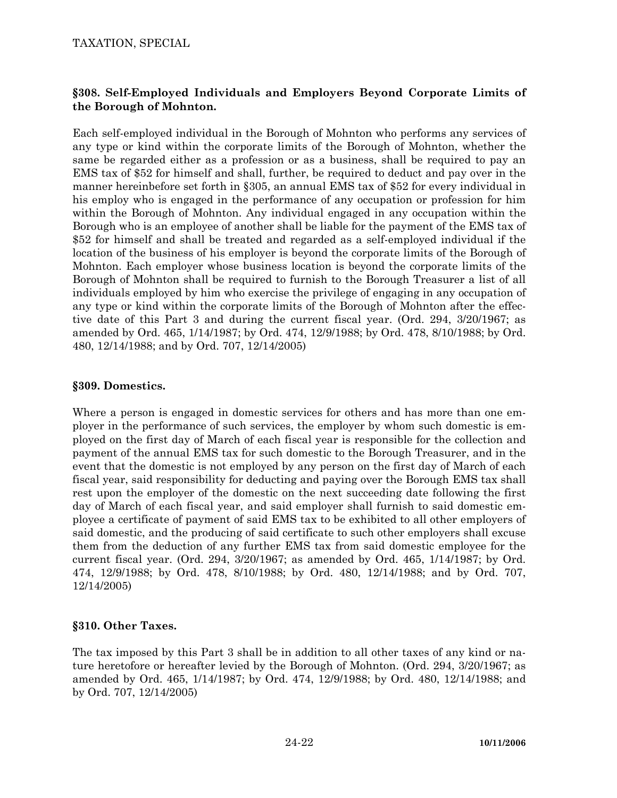## TAXATION, SPECIAL

# **§308. Self-Employed Individuals and Employers Beyond Corporate Limits of the Borough of Mohnton.**

Each self-employed individual in the Borough of Mohnton who performs any services of any type or kind within the corporate limits of the Borough of Mohnton, whether the same be regarded either as a profession or as a business, shall be required to pay an EMS tax of \$52 for himself and shall, further, be required to deduct and pay over in the manner hereinbefore set forth in §305, an annual EMS tax of \$52 for every individual in his employ who is engaged in the performance of any occupation or profession for him within the Borough of Mohnton. Any individual engaged in any occupation within the Borough who is an employee of another shall be liable for the payment of the EMS tax of \$52 for himself and shall be treated and regarded as a self-employed individual if the location of the business of his employer is beyond the corporate limits of the Borough of Mohnton. Each employer whose business location is beyond the corporate limits of the Borough of Mohnton shall be required to furnish to the Borough Treasurer a list of all individuals employed by him who exercise the privilege of engaging in any occupation of any type or kind within the corporate limits of the Borough of Mohnton after the effective date of this Part 3 and during the current fiscal year. (Ord. 294, 3/20/1967; as amended by Ord. 465, 1/14/1987; by Ord. 474, 12/9/1988; by Ord. 478, 8/10/1988; by Ord. 480, 12/14/1988; and by Ord. 707, 12/14/2005)

#### **§309. Domestics.**

Where a person is engaged in domestic services for others and has more than one employer in the performance of such services, the employer by whom such domestic is employed on the first day of March of each fiscal year is responsible for the collection and payment of the annual EMS tax for such domestic to the Borough Treasurer, and in the event that the domestic is not employed by any person on the first day of March of each fiscal year, said responsibility for deducting and paying over the Borough EMS tax shall rest upon the employer of the domestic on the next succeeding date following the first day of March of each fiscal year, and said employer shall furnish to said domestic employee a certificate of payment of said EMS tax to be exhibited to all other employers of said domestic, and the producing of said certificate to such other employers shall excuse them from the deduction of any further EMS tax from said domestic employee for the current fiscal year. (Ord. 294, 3/20/1967; as amended by Ord. 465, 1/14/1987; by Ord. 474, 12/9/1988; by Ord. 478, 8/10/1988; by Ord. 480, 12/14/1988; and by Ord. 707, 12/14/2005)

## **§310. Other Taxes.**

The tax imposed by this Part 3 shall be in addition to all other taxes of any kind or nature heretofore or hereafter levied by the Borough of Mohnton. (Ord. 294, 3/20/1967; as amended by Ord. 465, 1/14/1987; by Ord. 474, 12/9/1988; by Ord. 480, 12/14/1988; and by Ord. 707, 12/14/2005)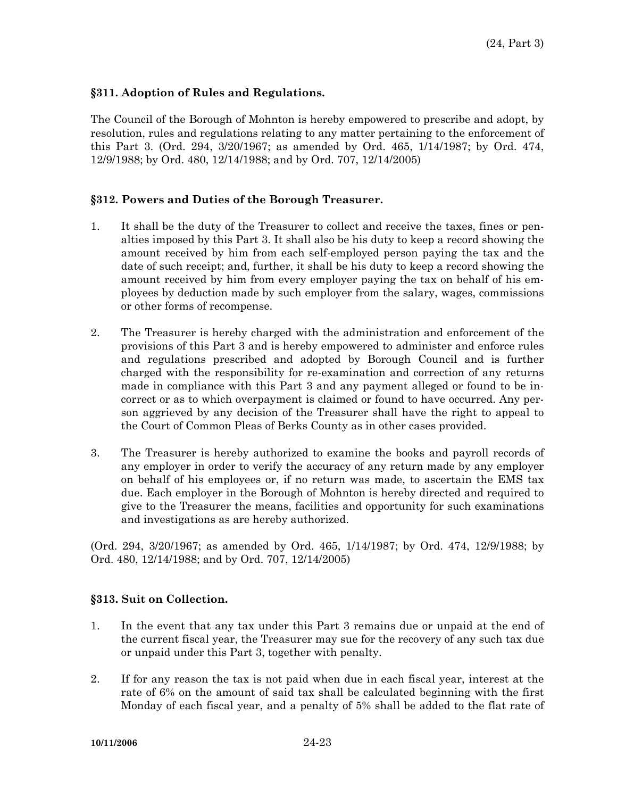## **§311. Adoption of Rules and Regulations.**

The Council of the Borough of Mohnton is hereby empowered to prescribe and adopt, by resolution, rules and regulations relating to any matter pertaining to the enforcement of this Part 3. (Ord. 294, 3/20/1967; as amended by Ord. 465, 1/14/1987; by Ord. 474, 12/9/1988; by Ord. 480, 12/14/1988; and by Ord. 707, 12/14/2005)

## **§312. Powers and Duties of the Borough Treasurer.**

- 1. It shall be the duty of the Treasurer to collect and receive the taxes, fines or penalties imposed by this Part 3. It shall also be his duty to keep a record showing the amount received by him from each self-employed person paying the tax and the date of such receipt; and, further, it shall be his duty to keep a record showing the amount received by him from every employer paying the tax on behalf of his employees by deduction made by such employer from the salary, wages, commissions or other forms of recompense.
- 2. The Treasurer is hereby charged with the administration and enforcement of the provisions of this Part 3 and is hereby empowered to administer and enforce rules and regulations prescribed and adopted by Borough Council and is further charged with the responsibility for re-examination and correction of any returns made in compliance with this Part 3 and any payment alleged or found to be incorrect or as to which overpayment is claimed or found to have occurred. Any person aggrieved by any decision of the Treasurer shall have the right to appeal to the Court of Common Pleas of Berks County as in other cases provided.
- 3. The Treasurer is hereby authorized to examine the books and payroll records of any employer in order to verify the accuracy of any return made by any employer on behalf of his employees or, if no return was made, to ascertain the EMS tax due. Each employer in the Borough of Mohnton is hereby directed and required to give to the Treasurer the means, facilities and opportunity for such examinations and investigations as are hereby authorized.

(Ord. 294, 3/20/1967; as amended by Ord. 465, 1/14/1987; by Ord. 474, 12/9/1988; by Ord. 480, 12/14/1988; and by Ord. 707, 12/14/2005)

## **§313. Suit on Collection.**

- 1. In the event that any tax under this Part 3 remains due or unpaid at the end of the current fiscal year, the Treasurer may sue for the recovery of any such tax due or unpaid under this Part 3, together with penalty.
- 2. If for any reason the tax is not paid when due in each fiscal year, interest at the rate of 6% on the amount of said tax shall be calculated beginning with the first Monday of each fiscal year, and a penalty of 5% shall be added to the flat rate of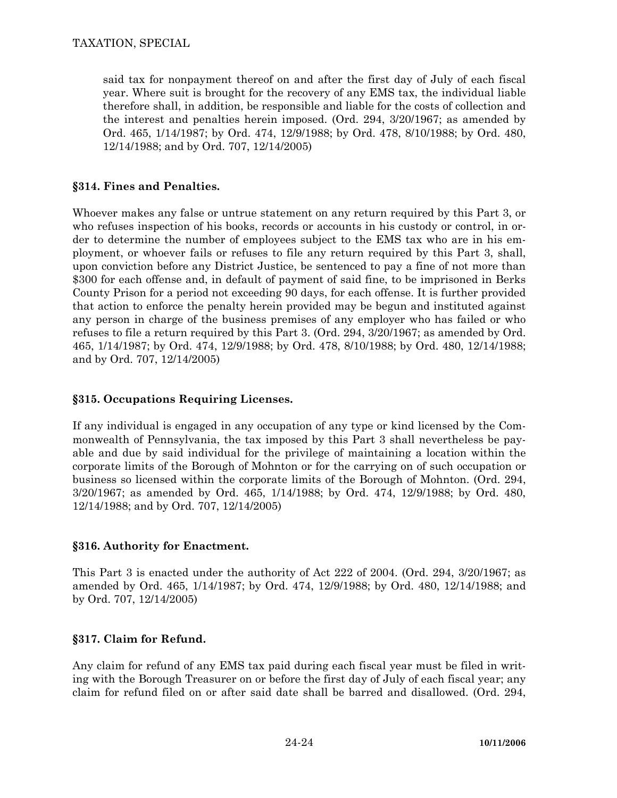said tax for nonpayment thereof on and after the first day of July of each fiscal year. Where suit is brought for the recovery of any EMS tax, the individual liable therefore shall, in addition, be responsible and liable for the costs of collection and the interest and penalties herein imposed. (Ord. 294, 3/20/1967; as amended by Ord. 465, 1/14/1987; by Ord. 474, 12/9/1988; by Ord. 478, 8/10/1988; by Ord. 480, 12/14/1988; and by Ord. 707, 12/14/2005)

# **§314. Fines and Penalties.**

Whoever makes any false or untrue statement on any return required by this Part 3, or who refuses inspection of his books, records or accounts in his custody or control, in order to determine the number of employees subject to the EMS tax who are in his employment, or whoever fails or refuses to file any return required by this Part 3, shall, upon conviction before any District Justice, be sentenced to pay a fine of not more than \$300 for each offense and, in default of payment of said fine, to be imprisoned in Berks County Prison for a period not exceeding 90 days, for each offense. It is further provided that action to enforce the penalty herein provided may be begun and instituted against any person in charge of the business premises of any employer who has failed or who refuses to file a return required by this Part 3. (Ord. 294, 3/20/1967; as amended by Ord. 465, 1/14/1987; by Ord. 474, 12/9/1988; by Ord. 478, 8/10/1988; by Ord. 480, 12/14/1988; and by Ord. 707, 12/14/2005)

# **§315. Occupations Requiring Licenses.**

If any individual is engaged in any occupation of any type or kind licensed by the Commonwealth of Pennsylvania, the tax imposed by this Part 3 shall nevertheless be payable and due by said individual for the privilege of maintaining a location within the corporate limits of the Borough of Mohnton or for the carrying on of such occupation or business so licensed within the corporate limits of the Borough of Mohnton. (Ord. 294, 3/20/1967; as amended by Ord. 465, 1/14/1988; by Ord. 474, 12/9/1988; by Ord. 480, 12/14/1988; and by Ord. 707, 12/14/2005)

# **§316. Authority for Enactment.**

This Part 3 is enacted under the authority of Act 222 of 2004. (Ord. 294, 3/20/1967; as amended by Ord. 465, 1/14/1987; by Ord. 474, 12/9/1988; by Ord. 480, 12/14/1988; and by Ord. 707, 12/14/2005)

## **§317. Claim for Refund.**

Any claim for refund of any EMS tax paid during each fiscal year must be filed in writing with the Borough Treasurer on or before the first day of July of each fiscal year; any claim for refund filed on or after said date shall be barred and disallowed. (Ord. 294,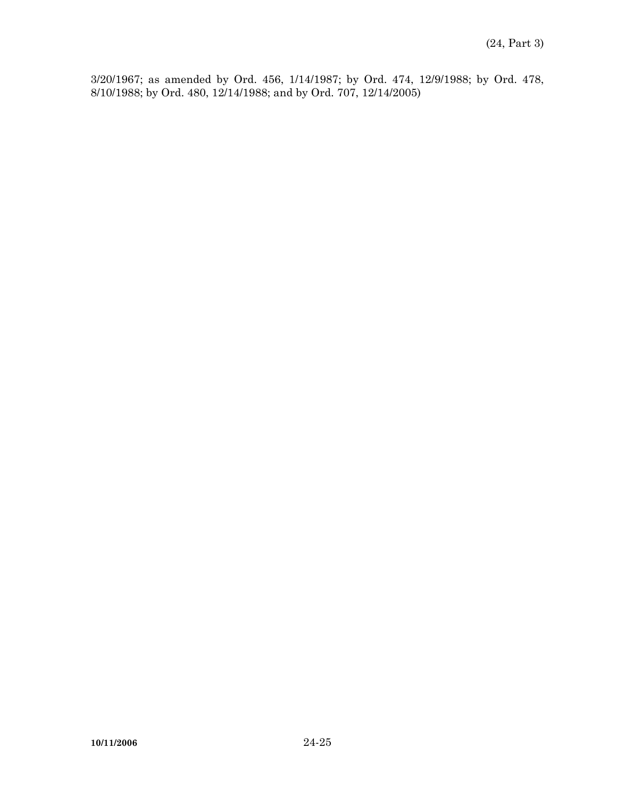3/20/1967; as amended by Ord. 456, 1/14/1987; by Ord. 474, 12/9/1988; by Ord. 478, 8/10/1988; by Ord. 480, 12/14/1988; and by Ord. 707, 12/14/2005)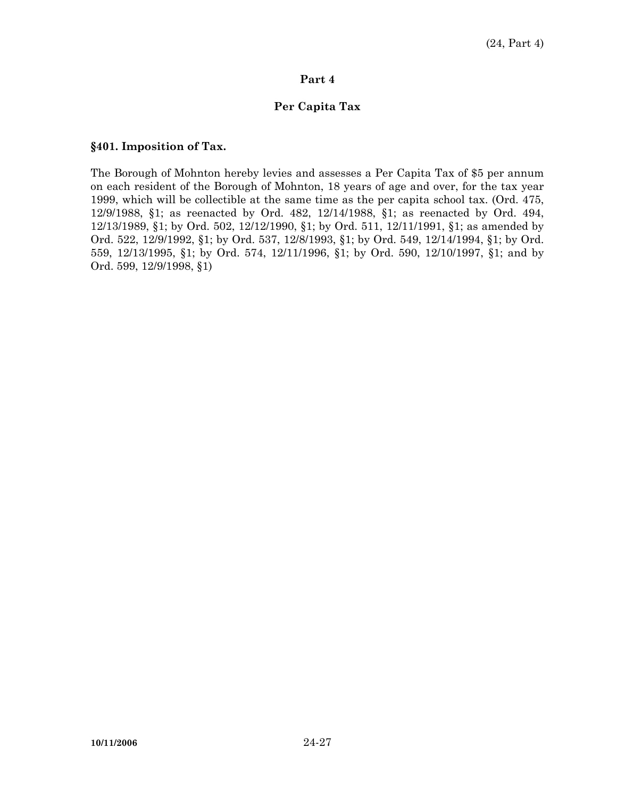#### **Per Capita Tax**

#### **§401. Imposition of Tax.**

The Borough of Mohnton hereby levies and assesses a Per Capita Tax of \$5 per annum on each resident of the Borough of Mohnton, 18 years of age and over, for the tax year 1999, which will be collectible at the same time as the per capita school tax. (Ord. 475, 12/9/1988, §1; as reenacted by Ord. 482, 12/14/1988, §1; as reenacted by Ord. 494, 12/13/1989, §1; by Ord. 502, 12/12/1990, §1; by Ord. 511, 12/11/1991, §1; as amended by Ord. 522, 12/9/1992, §1; by Ord. 537, 12/8/1993, §1; by Ord. 549, 12/14/1994, §1; by Ord. 559, 12/13/1995, §1; by Ord. 574, 12/11/1996, §1; by Ord. 590, 12/10/1997, §1; and by Ord. 599, 12/9/1998, §1)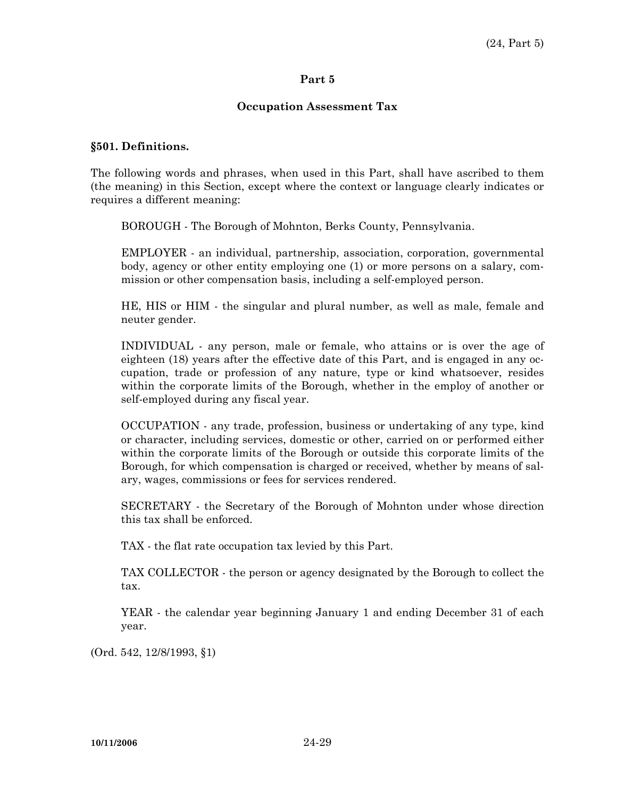#### **Occupation Assessment Tax**

#### **§501. Definitions.**

The following words and phrases, when used in this Part, shall have ascribed to them (the meaning) in this Section, except where the context or language clearly indicates or requires a different meaning:

BOROUGH - The Borough of Mohnton, Berks County, Pennsylvania.

 EMPLOYER - an individual, partnership, association, corporation, governmental body, agency or other entity employing one (1) or more persons on a salary, commission or other compensation basis, including a self-employed person.

 HE, HIS or HIM - the singular and plural number, as well as male, female and neuter gender.

 INDIVIDUAL - any person, male or female, who attains or is over the age of eighteen (18) years after the effective date of this Part, and is engaged in any occupation, trade or profession of any nature, type or kind whatsoever, resides within the corporate limits of the Borough, whether in the employ of another or self-employed during any fiscal year.

 OCCUPATION - any trade, profession, business or undertaking of any type, kind or character, including services, domestic or other, carried on or performed either within the corporate limits of the Borough or outside this corporate limits of the Borough, for which compensation is charged or received, whether by means of salary, wages, commissions or fees for services rendered.

 SECRETARY - the Secretary of the Borough of Mohnton under whose direction this tax shall be enforced.

TAX - the flat rate occupation tax levied by this Part.

 TAX COLLECTOR - the person or agency designated by the Borough to collect the tax.

 YEAR - the calendar year beginning January 1 and ending December 31 of each year.

(Ord. 542, 12/8/1993, §1)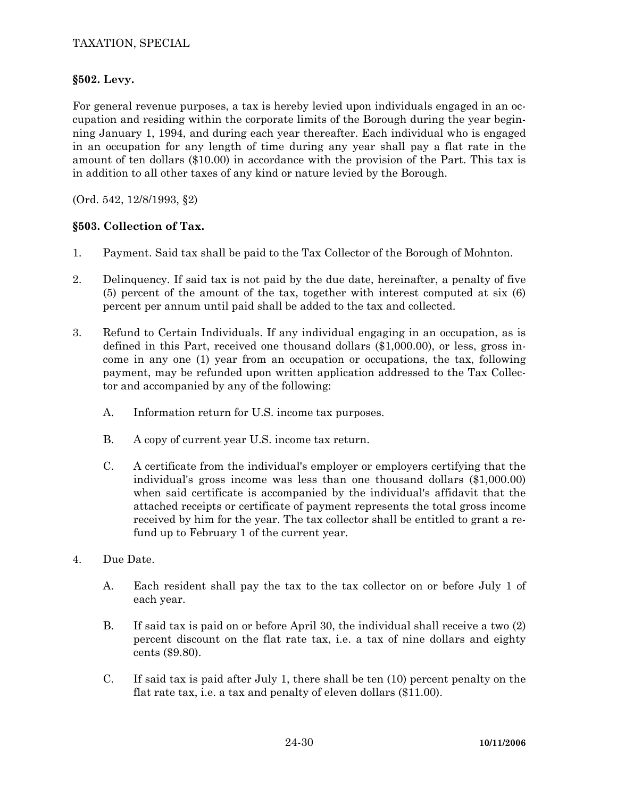# **§502. Levy.**

For general revenue purposes, a tax is hereby levied upon individuals engaged in an occupation and residing within the corporate limits of the Borough during the year beginning January 1, 1994, and during each year thereafter. Each individual who is engaged in an occupation for any length of time during any year shall pay a flat rate in the amount of ten dollars (\$10.00) in accordance with the provision of the Part. This tax is in addition to all other taxes of any kind or nature levied by the Borough.

(Ord. 542, 12/8/1993, §2)

# **§503. Collection of Tax.**

- 1. Payment. Said tax shall be paid to the Tax Collector of the Borough of Mohnton.
- 2. Delinquency. If said tax is not paid by the due date, hereinafter, a penalty of five (5) percent of the amount of the tax, together with interest computed at six (6) percent per annum until paid shall be added to the tax and collected.
- 3. Refund to Certain Individuals. If any individual engaging in an occupation, as is defined in this Part, received one thousand dollars (\$1,000.00), or less, gross income in any one (1) year from an occupation or occupations, the tax, following payment, may be refunded upon written application addressed to the Tax Collector and accompanied by any of the following:
	- A. Information return for U.S. income tax purposes.
	- B. A copy of current year U.S. income tax return.
	- C. A certificate from the individual's employer or employers certifying that the individual's gross income was less than one thousand dollars (\$1,000.00) when said certificate is accompanied by the individual's affidavit that the attached receipts or certificate of payment represents the total gross income received by him for the year. The tax collector shall be entitled to grant a refund up to February 1 of the current year.
- 4. Due Date.
	- A. Each resident shall pay the tax to the tax collector on or before July 1 of each year.
	- B. If said tax is paid on or before April 30, the individual shall receive a two (2) percent discount on the flat rate tax, i.e. a tax of nine dollars and eighty cents (\$9.80).
	- C. If said tax is paid after July 1, there shall be ten (10) percent penalty on the flat rate tax, i.e. a tax and penalty of eleven dollars (\$11.00).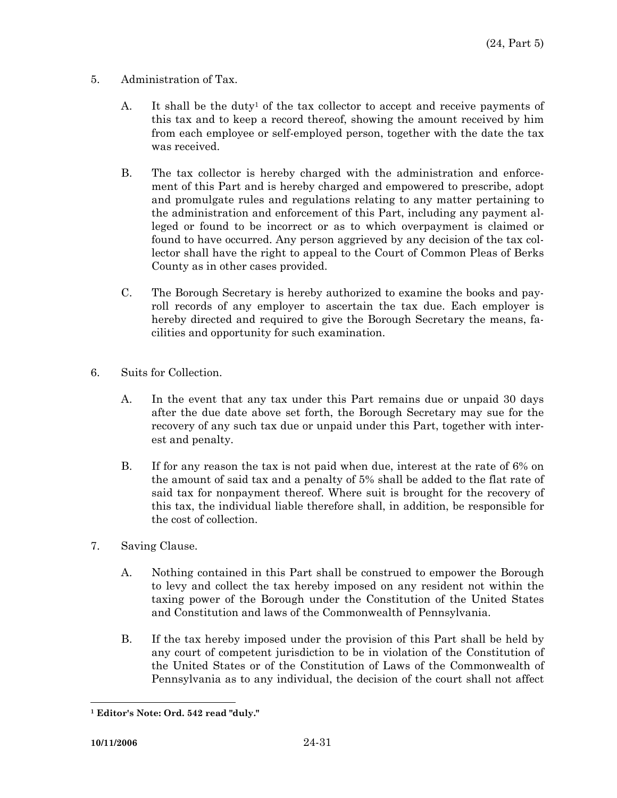- 5. Administration of Tax.
	- A. It shall be the duty<sup>1</sup> of the tax collector to accept and receive payments of this tax and to keep a record thereof, showing the amount received by him from each employee or self-employed person, together with the date the tax was received.
	- B. The tax collector is hereby charged with the administration and enforcement of this Part and is hereby charged and empowered to prescribe, adopt and promulgate rules and regulations relating to any matter pertaining to the administration and enforcement of this Part, including any payment alleged or found to be incorrect or as to which overpayment is claimed or found to have occurred. Any person aggrieved by any decision of the tax collector shall have the right to appeal to the Court of Common Pleas of Berks County as in other cases provided.
	- C. The Borough Secretary is hereby authorized to examine the books and payroll records of any employer to ascertain the tax due. Each employer is hereby directed and required to give the Borough Secretary the means, facilities and opportunity for such examination.
- 6. Suits for Collection.
	- A. In the event that any tax under this Part remains due or unpaid 30 days after the due date above set forth, the Borough Secretary may sue for the recovery of any such tax due or unpaid under this Part, together with interest and penalty.
	- B. If for any reason the tax is not paid when due, interest at the rate of 6% on the amount of said tax and a penalty of 5% shall be added to the flat rate of said tax for nonpayment thereof. Where suit is brought for the recovery of this tax, the individual liable therefore shall, in addition, be responsible for the cost of collection.
- 7. Saving Clause.
	- A. Nothing contained in this Part shall be construed to empower the Borough to levy and collect the tax hereby imposed on any resident not within the taxing power of the Borough under the Constitution of the United States and Constitution and laws of the Commonwealth of Pennsylvania.
	- B. If the tax hereby imposed under the provision of this Part shall be held by any court of competent jurisdiction to be in violation of the Constitution of the United States or of the Constitution of Laws of the Commonwealth of Pennsylvania as to any individual, the decision of the court shall not affect

 $\overline{a}$ **1 Editor's Note: Ord. 542 read "duly."**